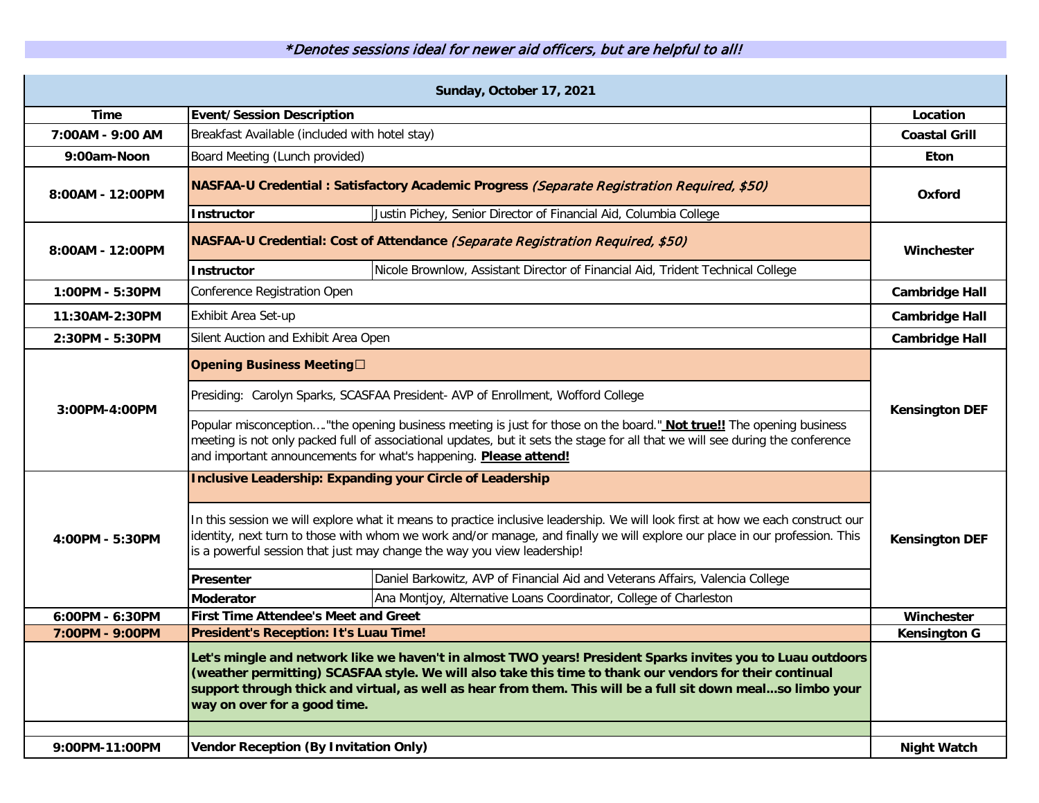\*Denotes sessions ideal for newer aid officers, but are helpful to all!

| Sunday, October 17, 2021 |                                                                                                                                                                                                                                                                                                                                                                         |                       |  |
|--------------------------|-------------------------------------------------------------------------------------------------------------------------------------------------------------------------------------------------------------------------------------------------------------------------------------------------------------------------------------------------------------------------|-----------------------|--|
| <b>Time</b>              | <b>Event/Session Description</b>                                                                                                                                                                                                                                                                                                                                        | Location              |  |
| 7:00AM - 9:00 AM         | Breakfast Available (included with hotel stay)                                                                                                                                                                                                                                                                                                                          | <b>Coastal Grill</b>  |  |
| 9:00am-Noon              | Board Meeting (Lunch provided)                                                                                                                                                                                                                                                                                                                                          | <b>Eton</b>           |  |
| 8:00AM - 12:00PM         | NASFAA-U Credential: Satisfactory Academic Progress (Separate Registration Required, \$50)                                                                                                                                                                                                                                                                              | Oxford                |  |
|                          | Justin Pichey, Senior Director of Financial Aid, Columbia College<br><b>Instructor</b>                                                                                                                                                                                                                                                                                  |                       |  |
| 8:00AM - 12:00PM         | NASFAA-U Credential: Cost of Attendance (Separate Registration Required, \$50)                                                                                                                                                                                                                                                                                          | <b>Winchester</b>     |  |
|                          | Nicole Brownlow, Assistant Director of Financial Aid, Trident Technical College<br><b>Instructor</b>                                                                                                                                                                                                                                                                    |                       |  |
| 1:00PM - 5:30PM          | Conference Registration Open                                                                                                                                                                                                                                                                                                                                            | <b>Cambridge Hall</b> |  |
| 11:30AM-2:30PM           | Exhibit Area Set-up                                                                                                                                                                                                                                                                                                                                                     | <b>Cambridge Hall</b> |  |
| 2:30PM - 5:30PM          | Silent Auction and Exhibit Area Open                                                                                                                                                                                                                                                                                                                                    | <b>Cambridge Hall</b> |  |
|                          | <b>Opening Business Meeting</b> □                                                                                                                                                                                                                                                                                                                                       | <b>Kensington DEF</b> |  |
| 3:00PM-4:00PM            | Presiding: Carolyn Sparks, SCASFAA President- AVP of Enrollment, Wofford College                                                                                                                                                                                                                                                                                        |                       |  |
|                          | Popular misconception"the opening business meeting is just for those on the board." Not true!! The opening business<br>meeting is not only packed full of associational updates, but it sets the stage for all that we will see during the conference<br>and important announcements for what's happening. Please attend!                                               |                       |  |
|                          | <b>Inclusive Leadership: Expanding your Circle of Leadership</b>                                                                                                                                                                                                                                                                                                        |                       |  |
| 4:00PM - 5:30PM          | In this session we will explore what it means to practice inclusive leadership. We will look first at how we each construct our<br>identity, next turn to those with whom we work and/or manage, and finally we will explore our place in our profession. This<br>is a powerful session that just may change the way you view leadership!                               | <b>Kensington DEF</b> |  |
|                          | Daniel Barkowitz, AVP of Financial Aid and Veterans Affairs, Valencia College<br>Presenter                                                                                                                                                                                                                                                                              |                       |  |
|                          | Ana Montjoy, Alternative Loans Coordinator, College of Charleston<br><b>Moderator</b>                                                                                                                                                                                                                                                                                   |                       |  |
| 6:00PM - 6:30PM          | First Time Attendee's Meet and Greet                                                                                                                                                                                                                                                                                                                                    | Winchester            |  |
| 7:00PM - 9:00PM          | President's Reception: It's Luau Time!                                                                                                                                                                                                                                                                                                                                  | <b>Kensington G</b>   |  |
|                          | Let's mingle and network like we haven't in almost TWO years! President Sparks invites you to Luau outdoors<br>(weather permitting) SCASFAA style. We will also take this time to thank our vendors for their continual<br>support through thick and virtual, as well as hear from them. This will be a full sit down mealso limbo your<br>way on over for a good time. |                       |  |
| 9:00PM-11:00PM           | <b>Vendor Reception (By Invitation Only)</b>                                                                                                                                                                                                                                                                                                                            | <b>Night Watch</b>    |  |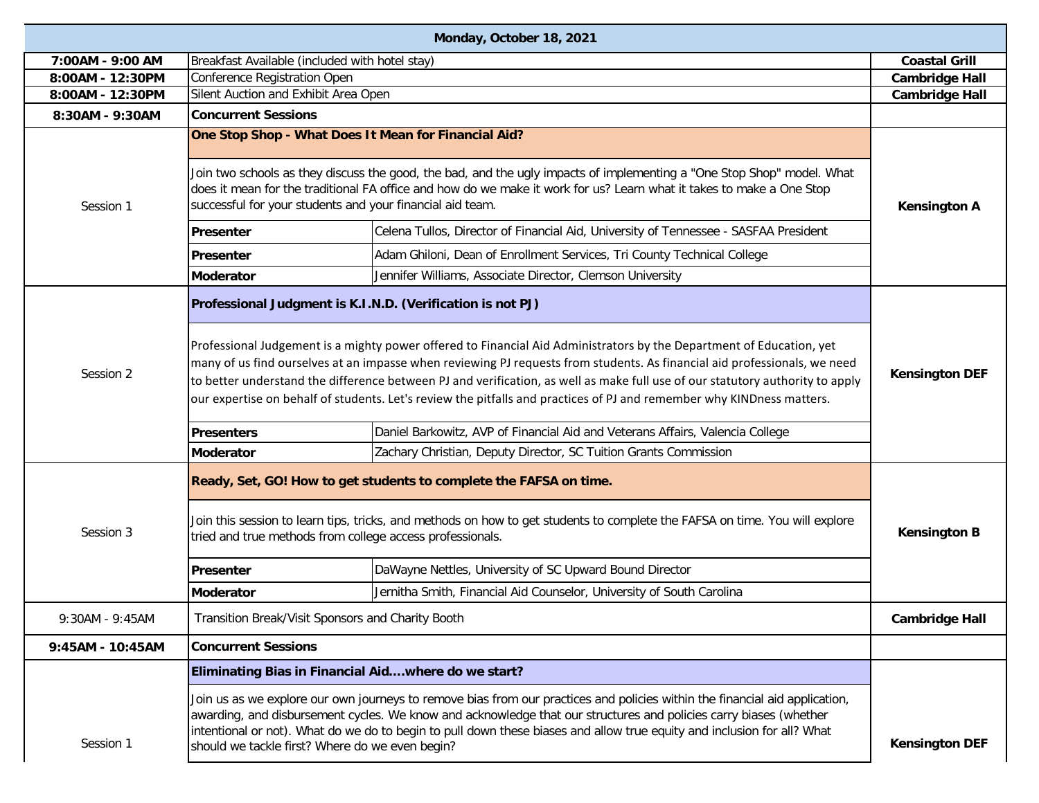| Monday, October 18, 2021 |                                                                                                                                                                                                                                                                                                             |                                                                                                                                                                                                                                                                                                                                                                                                                                                                                                             |                                                |
|--------------------------|-------------------------------------------------------------------------------------------------------------------------------------------------------------------------------------------------------------------------------------------------------------------------------------------------------------|-------------------------------------------------------------------------------------------------------------------------------------------------------------------------------------------------------------------------------------------------------------------------------------------------------------------------------------------------------------------------------------------------------------------------------------------------------------------------------------------------------------|------------------------------------------------|
| 7:00AM - 9:00 AM         | Breakfast Available (included with hotel stay)                                                                                                                                                                                                                                                              |                                                                                                                                                                                                                                                                                                                                                                                                                                                                                                             | <b>Coastal Grill</b>                           |
| 8:00AM - 12:30PM         | Conference Registration Open                                                                                                                                                                                                                                                                                |                                                                                                                                                                                                                                                                                                                                                                                                                                                                                                             | <b>Cambridge Hall</b><br><b>Cambridge Hall</b> |
| 8:00AM - 12:30PM         |                                                                                                                                                                                                                                                                                                             | Silent Auction and Exhibit Area Open                                                                                                                                                                                                                                                                                                                                                                                                                                                                        |                                                |
| 8:30AM - 9:30AM          | <b>Concurrent Sessions</b>                                                                                                                                                                                                                                                                                  |                                                                                                                                                                                                                                                                                                                                                                                                                                                                                                             |                                                |
|                          |                                                                                                                                                                                                                                                                                                             | One Stop Shop - What Does It Mean for Financial Aid?                                                                                                                                                                                                                                                                                                                                                                                                                                                        |                                                |
| Session 1                | Join two schools as they discuss the good, the bad, and the ugly impacts of implementing a "One Stop Shop" model. What<br>does it mean for the traditional FA office and how do we make it work for us? Learn what it takes to make a One Stop<br>successful for your students and your financial aid team. |                                                                                                                                                                                                                                                                                                                                                                                                                                                                                                             |                                                |
|                          | Presenter                                                                                                                                                                                                                                                                                                   | Celena Tullos, Director of Financial Aid, University of Tennessee - SASFAA President                                                                                                                                                                                                                                                                                                                                                                                                                        |                                                |
|                          | <b>IPresenter</b>                                                                                                                                                                                                                                                                                           | Adam Ghiloni, Dean of Enrollment Services, Tri County Technical College                                                                                                                                                                                                                                                                                                                                                                                                                                     |                                                |
|                          | <b>Moderator</b>                                                                                                                                                                                                                                                                                            | Jennifer Williams, Associate Director, Clemson University                                                                                                                                                                                                                                                                                                                                                                                                                                                   |                                                |
|                          |                                                                                                                                                                                                                                                                                                             | Professional Judgment is K.I.N.D. (Verification is not PJ)                                                                                                                                                                                                                                                                                                                                                                                                                                                  |                                                |
| Session 2                |                                                                                                                                                                                                                                                                                                             | Professional Judgement is a mighty power offered to Financial Aid Administrators by the Department of Education, yet<br>many of us find ourselves at an impasse when reviewing PJ requests from students. As financial aid professionals, we need<br>to better understand the difference between PJ and verification, as well as make full use of our statutory authority to apply<br>our expertise on behalf of students. Let's review the pitfalls and practices of PJ and remember why KINDness matters. | <b>Kensington DEF</b>                          |
|                          | <b>Presenters</b>                                                                                                                                                                                                                                                                                           | Daniel Barkowitz, AVP of Financial Aid and Veterans Affairs, Valencia College                                                                                                                                                                                                                                                                                                                                                                                                                               |                                                |
|                          | <b>Moderator</b>                                                                                                                                                                                                                                                                                            | Zachary Christian, Deputy Director, SC Tuition Grants Commission                                                                                                                                                                                                                                                                                                                                                                                                                                            |                                                |
|                          |                                                                                                                                                                                                                                                                                                             | Ready, Set, GO! How to get students to complete the FAFSA on time.<br>Join this session to learn tips, tricks, and methods on how to get students to complete the FAFSA on time. You will explore                                                                                                                                                                                                                                                                                                           |                                                |
| Session 3                |                                                                                                                                                                                                                                                                                                             | tried and true methods from college access professionals.                                                                                                                                                                                                                                                                                                                                                                                                                                                   | <b>Kensington B</b>                            |
|                          | Presenter                                                                                                                                                                                                                                                                                                   | DaWayne Nettles, University of SC Upward Bound Director                                                                                                                                                                                                                                                                                                                                                                                                                                                     |                                                |
|                          | <b>Moderator</b>                                                                                                                                                                                                                                                                                            | Jernitha Smith, Financial Aid Counselor, University of South Carolina                                                                                                                                                                                                                                                                                                                                                                                                                                       |                                                |
| 9:30AM - 9:45AM          |                                                                                                                                                                                                                                                                                                             | Transition Break/Visit Sponsors and Charity Booth                                                                                                                                                                                                                                                                                                                                                                                                                                                           |                                                |
| 9:45AM - 10:45AM         | <b>Concurrent Sessions</b>                                                                                                                                                                                                                                                                                  |                                                                                                                                                                                                                                                                                                                                                                                                                                                                                                             |                                                |
|                          | Eliminating Bias in Financial Aidwhere do we start?                                                                                                                                                                                                                                                         |                                                                                                                                                                                                                                                                                                                                                                                                                                                                                                             |                                                |
| Session 1                | should we tackle first? Where do we even begin?                                                                                                                                                                                                                                                             | Join us as we explore our own journeys to remove bias from our practices and policies within the financial aid application,<br>awarding, and disbursement cycles. We know and acknowledge that our structures and policies carry biases (whether<br>intentional or not). What do we do to begin to pull down these biases and allow true equity and inclusion for all? What                                                                                                                                 | <b>Kensington DEF</b>                          |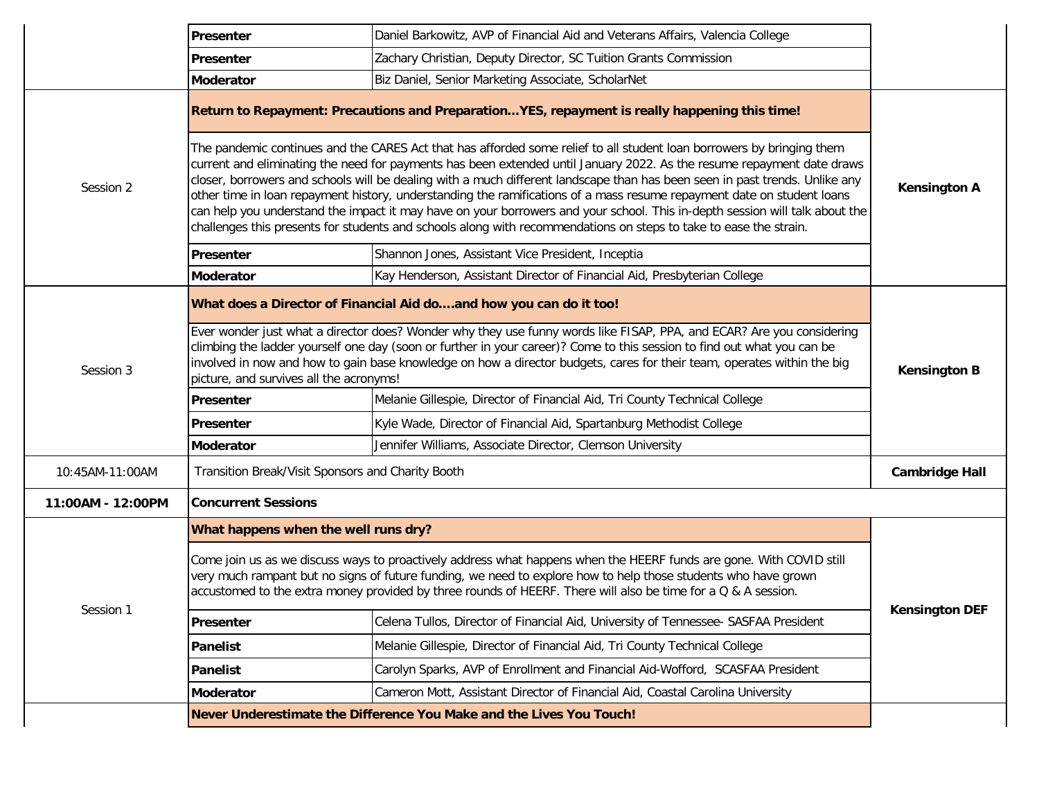|                   | Presenter                                                                                                                                                                                                                                                                                                                                                                                                                                                                                                                                                                                                                                                                                                                                                    | Daniel Barkowitz, AVP of Financial Aid and Veterans Affairs, Valencia College                 |                       |
|-------------------|--------------------------------------------------------------------------------------------------------------------------------------------------------------------------------------------------------------------------------------------------------------------------------------------------------------------------------------------------------------------------------------------------------------------------------------------------------------------------------------------------------------------------------------------------------------------------------------------------------------------------------------------------------------------------------------------------------------------------------------------------------------|-----------------------------------------------------------------------------------------------|-----------------------|
|                   | <b>IPresenter</b>                                                                                                                                                                                                                                                                                                                                                                                                                                                                                                                                                                                                                                                                                                                                            | Zachary Christian, Deputy Director, SC Tuition Grants Commission                              |                       |
|                   | Moderator                                                                                                                                                                                                                                                                                                                                                                                                                                                                                                                                                                                                                                                                                                                                                    | Biz Daniel, Senior Marketing Associate, ScholarNet                                            |                       |
|                   |                                                                                                                                                                                                                                                                                                                                                                                                                                                                                                                                                                                                                                                                                                                                                              | Return to Repayment: Precautions and PreparationYES, repayment is really happening this time! |                       |
| Session 2         | The pandemic continues and the CARES Act that has afforded some relief to all student loan borrowers by bringing them<br>current and eliminating the need for payments has been extended until January 2022. As the resume repayment date draws<br>closer, borrowers and schools will be dealing with a much different landscape than has been seen in past trends. Unlike any<br>other time in loan repayment history, understanding the ramifications of a mass resume repayment date on student loans<br>can help you understand the impact it may have on your borrowers and your school. This in-depth session will talk about the<br>challenges this presents for students and schools along with recommendations on steps to take to ease the strain. |                                                                                               | <b>Kensington A</b>   |
|                   | Presenter                                                                                                                                                                                                                                                                                                                                                                                                                                                                                                                                                                                                                                                                                                                                                    | Shannon Jones, Assistant Vice President, Inceptia                                             |                       |
|                   | <b>Moderator</b>                                                                                                                                                                                                                                                                                                                                                                                                                                                                                                                                                                                                                                                                                                                                             | Kay Henderson, Assistant Director of Financial Aid, Presbyterian College                      |                       |
| Session 3         | What does a Director of Financial Aid doand how you can do it too!<br>Ever wonder just what a director does? Wonder why they use funny words like FISAP, PPA, and ECAR? Are you considering<br>climbing the ladder yourself one day (soon or further in your career)? Come to this session to find out what you can be<br>involved in now and how to gain base knowledge on how a director budgets, cares for their team, operates within the big                                                                                                                                                                                                                                                                                                            |                                                                                               | <b>Kensington B</b>   |
|                   | picture, and survives all the acronyms!                                                                                                                                                                                                                                                                                                                                                                                                                                                                                                                                                                                                                                                                                                                      |                                                                                               |                       |
|                   | Presenter                                                                                                                                                                                                                                                                                                                                                                                                                                                                                                                                                                                                                                                                                                                                                    | Melanie Gillespie, Director of Financial Aid, Tri County Technical College                    |                       |
|                   | Presenter                                                                                                                                                                                                                                                                                                                                                                                                                                                                                                                                                                                                                                                                                                                                                    | Kyle Wade, Director of Financial Aid, Spartanburg Methodist College                           |                       |
|                   | <b>Moderator</b>                                                                                                                                                                                                                                                                                                                                                                                                                                                                                                                                                                                                                                                                                                                                             | Jennifer Williams, Associate Director, Clemson University                                     |                       |
| 10:45AM-11:00AM   | Transition Break/Visit Sponsors and Charity Booth<br><b>Cambridge Hall</b>                                                                                                                                                                                                                                                                                                                                                                                                                                                                                                                                                                                                                                                                                   |                                                                                               |                       |
| 11:00AM - 12:00PM | <b>Concurrent Sessions</b>                                                                                                                                                                                                                                                                                                                                                                                                                                                                                                                                                                                                                                                                                                                                   |                                                                                               |                       |
|                   | What happens when the well runs dry?                                                                                                                                                                                                                                                                                                                                                                                                                                                                                                                                                                                                                                                                                                                         |                                                                                               |                       |
|                   | Come join us as we discuss ways to proactively address what happens when the HEERF funds are gone. With COVID still<br>very much rampant but no signs of future funding, we need to explore how to help those students who have grown<br>accustomed to the extra money provided by three rounds of HEERF. There will also be time for a Q & A session.                                                                                                                                                                                                                                                                                                                                                                                                       |                                                                                               |                       |
| Session 1         | Presenter                                                                                                                                                                                                                                                                                                                                                                                                                                                                                                                                                                                                                                                                                                                                                    | Celena Tullos, Director of Financial Aid, University of Tennessee- SASFAA President           | <b>Kensington DEF</b> |
|                   | Panelist                                                                                                                                                                                                                                                                                                                                                                                                                                                                                                                                                                                                                                                                                                                                                     | Melanie Gillespie, Director of Financial Aid, Tri County Technical College                    |                       |
|                   | Panelist                                                                                                                                                                                                                                                                                                                                                                                                                                                                                                                                                                                                                                                                                                                                                     | Carolyn Sparks, AVP of Enrollment and Financial Aid-Wofford, SCASFAA President                |                       |
|                   | <b>Moderator</b>                                                                                                                                                                                                                                                                                                                                                                                                                                                                                                                                                                                                                                                                                                                                             | Cameron Mott, Assistant Director of Financial Aid, Coastal Carolina University                |                       |
|                   | Never Underestimate the Difference You Make and the Lives You Touch!                                                                                                                                                                                                                                                                                                                                                                                                                                                                                                                                                                                                                                                                                         |                                                                                               |                       |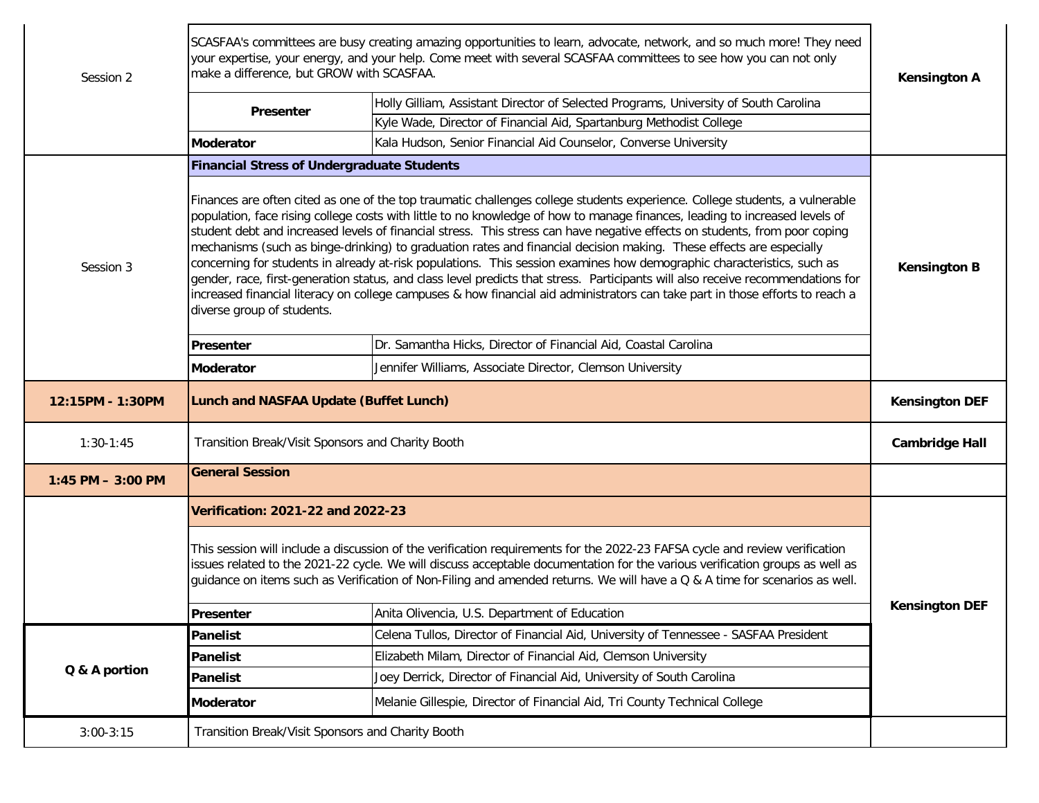| Session 2            | SCASFAA's committees are busy creating amazing opportunities to learn, advocate, network, and so much more! They need<br>your expertise, your energy, and your help. Come meet with several SCASFAA committees to see how you can not only<br>make a difference, but GROW with SCASFAA. |                                                                                                                                                                                                                                                                                                                                                                                                                                                                                                                                                                                                                                                                                                                                                                                                                                                                                                               |                       |
|----------------------|-----------------------------------------------------------------------------------------------------------------------------------------------------------------------------------------------------------------------------------------------------------------------------------------|---------------------------------------------------------------------------------------------------------------------------------------------------------------------------------------------------------------------------------------------------------------------------------------------------------------------------------------------------------------------------------------------------------------------------------------------------------------------------------------------------------------------------------------------------------------------------------------------------------------------------------------------------------------------------------------------------------------------------------------------------------------------------------------------------------------------------------------------------------------------------------------------------------------|-----------------------|
|                      | Presenter                                                                                                                                                                                                                                                                               | Holly Gilliam, Assistant Director of Selected Programs, University of South Carolina                                                                                                                                                                                                                                                                                                                                                                                                                                                                                                                                                                                                                                                                                                                                                                                                                          |                       |
|                      |                                                                                                                                                                                                                                                                                         | Kyle Wade, Director of Financial Aid, Spartanburg Methodist College                                                                                                                                                                                                                                                                                                                                                                                                                                                                                                                                                                                                                                                                                                                                                                                                                                           |                       |
|                      | <b>Moderator</b>                                                                                                                                                                                                                                                                        | Kala Hudson, Senior Financial Aid Counselor, Converse University                                                                                                                                                                                                                                                                                                                                                                                                                                                                                                                                                                                                                                                                                                                                                                                                                                              |                       |
|                      | <b>Financial Stress of Undergraduate Students</b>                                                                                                                                                                                                                                       |                                                                                                                                                                                                                                                                                                                                                                                                                                                                                                                                                                                                                                                                                                                                                                                                                                                                                                               |                       |
| Session 3            | diverse group of students.                                                                                                                                                                                                                                                              | Finances are often cited as one of the top traumatic challenges college students experience. College students, a vulnerable<br>population, face rising college costs with little to no knowledge of how to manage finances, leading to increased levels of<br>student debt and increased levels of financial stress. This stress can have negative effects on students, from poor coping<br>mechanisms (such as binge-drinking) to graduation rates and financial decision making. These effects are especially<br>concerning for students in already at-risk populations. This session examines how demographic characteristics, such as<br>gender, race, first-generation status, and class level predicts that stress. Participants will also receive recommendations for<br>increased financial literacy on college campuses & how financial aid administrators can take part in those efforts to reach a | <b>Kensington B</b>   |
|                      | Presenter                                                                                                                                                                                                                                                                               | Dr. Samantha Hicks, Director of Financial Aid, Coastal Carolina                                                                                                                                                                                                                                                                                                                                                                                                                                                                                                                                                                                                                                                                                                                                                                                                                                               |                       |
|                      | <b>Moderator</b>                                                                                                                                                                                                                                                                        | Jennifer Williams, Associate Director, Clemson University                                                                                                                                                                                                                                                                                                                                                                                                                                                                                                                                                                                                                                                                                                                                                                                                                                                     |                       |
|                      | Lunch and NASFAA Update (Buffet Lunch)                                                                                                                                                                                                                                                  |                                                                                                                                                                                                                                                                                                                                                                                                                                                                                                                                                                                                                                                                                                                                                                                                                                                                                                               |                       |
| 12:15PM - 1:30PM     |                                                                                                                                                                                                                                                                                         |                                                                                                                                                                                                                                                                                                                                                                                                                                                                                                                                                                                                                                                                                                                                                                                                                                                                                                               | <b>Kensington DEF</b> |
| $1:30-1:45$          | Transition Break/Visit Sponsors and Charity Booth                                                                                                                                                                                                                                       |                                                                                                                                                                                                                                                                                                                                                                                                                                                                                                                                                                                                                                                                                                                                                                                                                                                                                                               | <b>Cambridge Hall</b> |
| $1:45$ PM $-3:00$ PM | <b>General Session</b>                                                                                                                                                                                                                                                                  |                                                                                                                                                                                                                                                                                                                                                                                                                                                                                                                                                                                                                                                                                                                                                                                                                                                                                                               |                       |
|                      | Verification: 2021-22 and 2022-23                                                                                                                                                                                                                                                       |                                                                                                                                                                                                                                                                                                                                                                                                                                                                                                                                                                                                                                                                                                                                                                                                                                                                                                               |                       |
|                      |                                                                                                                                                                                                                                                                                         | This session will include a discussion of the verification requirements for the 2022-23 FAFSA cycle and review verification<br>issues related to the 2021-22 cycle. We will discuss acceptable documentation for the various verification groups as well as<br>guidance on items such as Verification of Non-Filing and amended returns. We will have a Q & A time for scenarios as well.                                                                                                                                                                                                                                                                                                                                                                                                                                                                                                                     |                       |
|                      | Presenter                                                                                                                                                                                                                                                                               | Anita Olivencia, U.S. Department of Education                                                                                                                                                                                                                                                                                                                                                                                                                                                                                                                                                                                                                                                                                                                                                                                                                                                                 | <b>Kensington DEF</b> |
|                      | <b>Panelist</b>                                                                                                                                                                                                                                                                         | Celena Tullos, Director of Financial Aid, University of Tennessee - SASFAA President                                                                                                                                                                                                                                                                                                                                                                                                                                                                                                                                                                                                                                                                                                                                                                                                                          |                       |
|                      | <b>Panelist</b>                                                                                                                                                                                                                                                                         | Elizabeth Milam, Director of Financial Aid, Clemson University                                                                                                                                                                                                                                                                                                                                                                                                                                                                                                                                                                                                                                                                                                                                                                                                                                                |                       |
| Q & A portion        | <b>Panelist</b>                                                                                                                                                                                                                                                                         | Joey Derrick, Director of Financial Aid, University of South Carolina                                                                                                                                                                                                                                                                                                                                                                                                                                                                                                                                                                                                                                                                                                                                                                                                                                         |                       |
|                      | <b>Moderator</b>                                                                                                                                                                                                                                                                        | Melanie Gillespie, Director of Financial Aid, Tri County Technical College                                                                                                                                                                                                                                                                                                                                                                                                                                                                                                                                                                                                                                                                                                                                                                                                                                    |                       |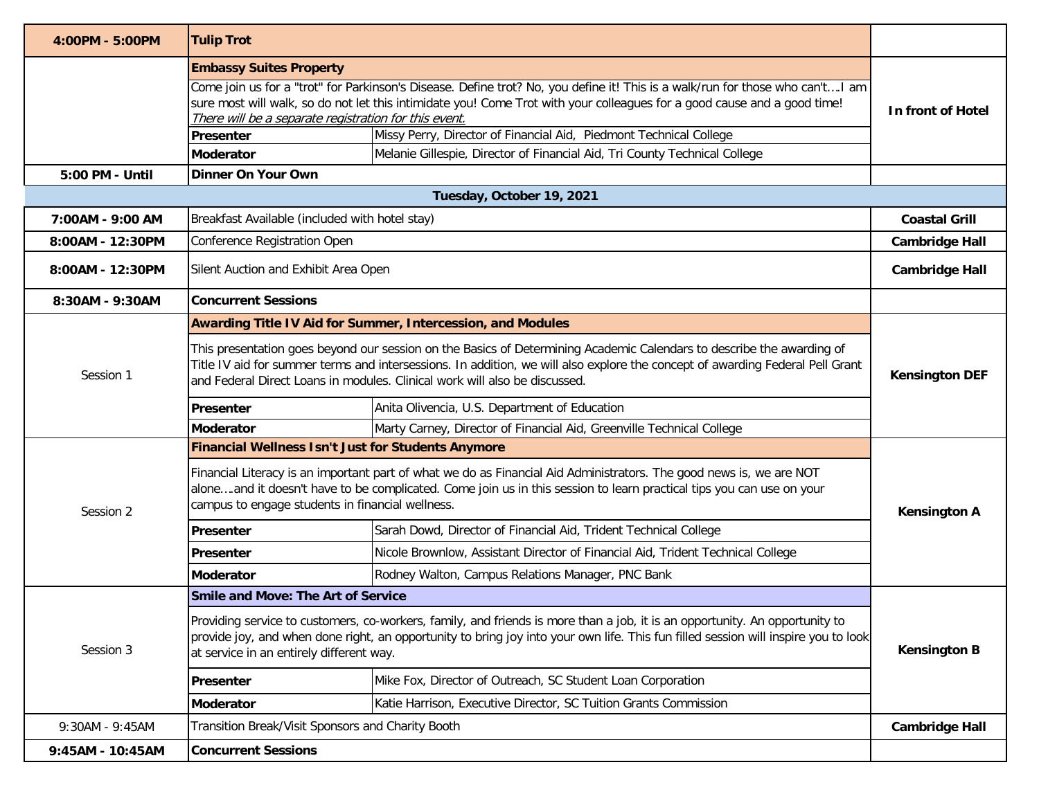| 4:00PM - 5:00PM                | <b>Tulip Trot</b>                                                                                                                                                                                                                                                                                                                    |                                                                                                                                                                                                                                                                   |                       |
|--------------------------------|--------------------------------------------------------------------------------------------------------------------------------------------------------------------------------------------------------------------------------------------------------------------------------------------------------------------------------------|-------------------------------------------------------------------------------------------------------------------------------------------------------------------------------------------------------------------------------------------------------------------|-----------------------|
| <b>Embassy Suites Property</b> |                                                                                                                                                                                                                                                                                                                                      |                                                                                                                                                                                                                                                                   |                       |
|                                | Come join us for a "trot" for Parkinson's Disease. Define trot? No, you define it! This is a walk/run for those who can't I am<br>sure most will walk, so do not let this intimidate you! Come Trot with your colleagues for a good cause and a good time!<br>There will be a separate registration for this event.                  |                                                                                                                                                                                                                                                                   |                       |
|                                | Presenter                                                                                                                                                                                                                                                                                                                            | Missy Perry, Director of Financial Aid, Piedmont Technical College                                                                                                                                                                                                |                       |
|                                | <b>Moderator</b>                                                                                                                                                                                                                                                                                                                     | Melanie Gillespie, Director of Financial Aid, Tri County Technical College                                                                                                                                                                                        |                       |
| 5:00 PM - Until                | <b>Dinner On Your Own</b>                                                                                                                                                                                                                                                                                                            |                                                                                                                                                                                                                                                                   |                       |
|                                |                                                                                                                                                                                                                                                                                                                                      | Tuesday, October 19, 2021                                                                                                                                                                                                                                         |                       |
| 7:00AM - 9:00 AM               | Breakfast Available (included with hotel stay)                                                                                                                                                                                                                                                                                       |                                                                                                                                                                                                                                                                   | <b>Coastal Grill</b>  |
| 8:00AM - 12:30PM               | Conference Registration Open                                                                                                                                                                                                                                                                                                         |                                                                                                                                                                                                                                                                   | <b>Cambridge Hall</b> |
| 8:00AM - 12:30PM               | Silent Auction and Exhibit Area Open                                                                                                                                                                                                                                                                                                 |                                                                                                                                                                                                                                                                   | <b>Cambridge Hall</b> |
| 8:30AM - 9:30AM                | <b>Concurrent Sessions</b>                                                                                                                                                                                                                                                                                                           |                                                                                                                                                                                                                                                                   |                       |
|                                |                                                                                                                                                                                                                                                                                                                                      | <b>Awarding Title IV Aid for Summer, Intercession, and Modules</b>                                                                                                                                                                                                |                       |
| Session 1                      | This presentation goes beyond our session on the Basics of Determining Academic Calendars to describe the awarding of<br>Title IV aid for summer terms and intersessions. In addition, we will also explore the concept of awarding Federal Pell Grant<br>and Federal Direct Loans in modules. Clinical work will also be discussed. |                                                                                                                                                                                                                                                                   | <b>Kensington DEF</b> |
|                                | <b>Presenter</b>                                                                                                                                                                                                                                                                                                                     | Anita Olivencia, U.S. Department of Education                                                                                                                                                                                                                     |                       |
|                                | <b>Moderator</b>                                                                                                                                                                                                                                                                                                                     | Marty Carney, Director of Financial Aid, Greenville Technical College                                                                                                                                                                                             |                       |
|                                | <b>Financial Wellness Isn't Just for Students Anymore</b>                                                                                                                                                                                                                                                                            |                                                                                                                                                                                                                                                                   |                       |
| Session 2                      | Financial Literacy is an important part of what we do as Financial Aid Administrators. The good news is, we are NOT<br>aloneand it doesn't have to be complicated. Come join us in this session to learn practical tips you can use on your<br>campus to engage students in financial wellness.                                      |                                                                                                                                                                                                                                                                   | <b>Kensington A</b>   |
|                                | <b>Presenter</b>                                                                                                                                                                                                                                                                                                                     | Sarah Dowd, Director of Financial Aid, Trident Technical College                                                                                                                                                                                                  |                       |
|                                | <b>Presenter</b>                                                                                                                                                                                                                                                                                                                     | Nicole Brownlow, Assistant Director of Financial Aid, Trident Technical College                                                                                                                                                                                   |                       |
|                                | <b>Moderator</b>                                                                                                                                                                                                                                                                                                                     | Rodney Walton, Campus Relations Manager, PNC Bank                                                                                                                                                                                                                 |                       |
|                                | Smile and Move: The Art of Service                                                                                                                                                                                                                                                                                                   |                                                                                                                                                                                                                                                                   |                       |
| Session 3                      | at service in an entirely different way.                                                                                                                                                                                                                                                                                             | Providing service to customers, co-workers, family, and friends is more than a job, it is an opportunity. An opportunity to<br>provide joy, and when done right, an opportunity to bring joy into your own life. This fun filled session will inspire you to look | <b>Kensington B</b>   |
|                                | Presenter                                                                                                                                                                                                                                                                                                                            | Mike Fox, Director of Outreach, SC Student Loan Corporation                                                                                                                                                                                                       |                       |
|                                | <b>Moderator</b>                                                                                                                                                                                                                                                                                                                     | Katie Harrison, Executive Director, SC Tuition Grants Commission                                                                                                                                                                                                  |                       |
| 9:30AM - 9:45AM                | Transition Break/Visit Sponsors and Charity Booth                                                                                                                                                                                                                                                                                    |                                                                                                                                                                                                                                                                   | <b>Cambridge Hall</b> |
| 9:45AM - 10:45AM               | <b>Concurrent Sessions</b>                                                                                                                                                                                                                                                                                                           |                                                                                                                                                                                                                                                                   |                       |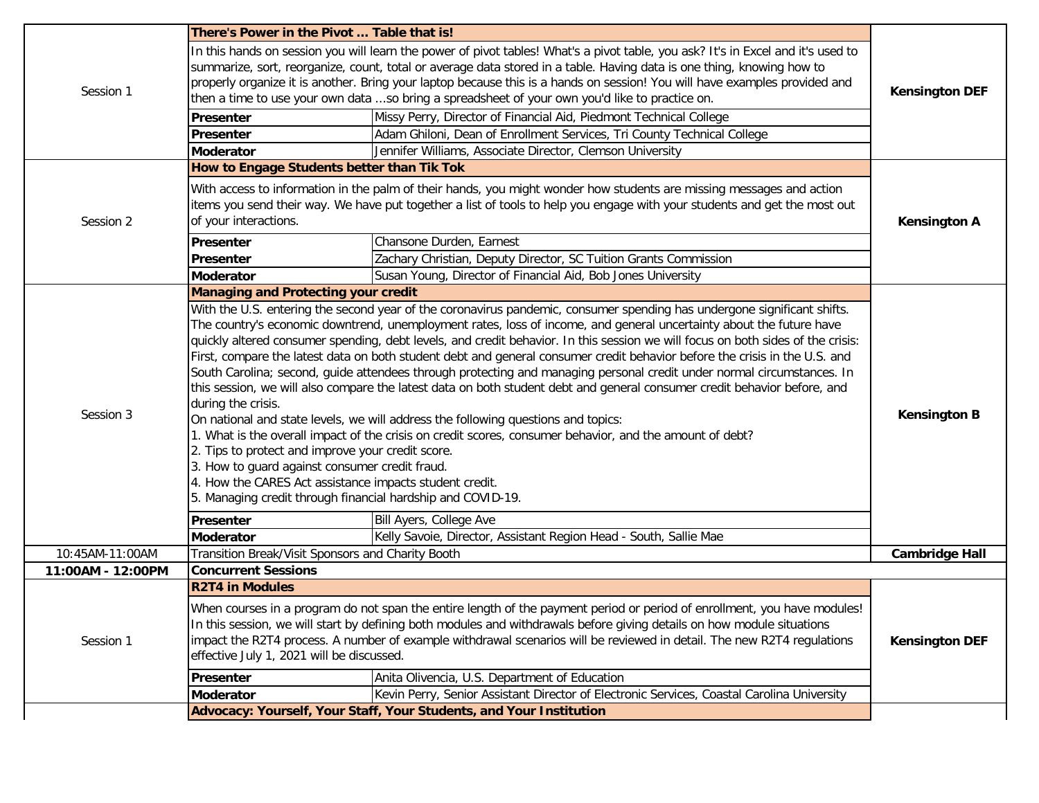|                   | There's Power in the Pivot  Table that is!                                                                                                                                                                                                                                                                                                                                                                                                                                                                                                                                                                                                                                                                                                                                                                                                                                                                                                                                                                                                                                                                                                                                                                                                                                  |                                                                                                                                                                                                                                                   |                       |
|-------------------|-----------------------------------------------------------------------------------------------------------------------------------------------------------------------------------------------------------------------------------------------------------------------------------------------------------------------------------------------------------------------------------------------------------------------------------------------------------------------------------------------------------------------------------------------------------------------------------------------------------------------------------------------------------------------------------------------------------------------------------------------------------------------------------------------------------------------------------------------------------------------------------------------------------------------------------------------------------------------------------------------------------------------------------------------------------------------------------------------------------------------------------------------------------------------------------------------------------------------------------------------------------------------------|---------------------------------------------------------------------------------------------------------------------------------------------------------------------------------------------------------------------------------------------------|-----------------------|
| Session 1         | In this hands on session you will learn the power of pivot tables! What's a pivot table, you ask? It's in Excel and it's used to<br>summarize, sort, reorganize, count, total or average data stored in a table. Having data is one thing, knowing how to<br>properly organize it is another. Bring your laptop because this is a hands on session! You will have examples provided and<br>then a time to use your own data so bring a spreadsheet of your own you'd like to practice on.                                                                                                                                                                                                                                                                                                                                                                                                                                                                                                                                                                                                                                                                                                                                                                                   |                                                                                                                                                                                                                                                   | <b>Kensington DEF</b> |
|                   | <b>Presenter</b>                                                                                                                                                                                                                                                                                                                                                                                                                                                                                                                                                                                                                                                                                                                                                                                                                                                                                                                                                                                                                                                                                                                                                                                                                                                            | Missy Perry, Director of Financial Aid, Piedmont Technical College                                                                                                                                                                                |                       |
|                   | Presenter                                                                                                                                                                                                                                                                                                                                                                                                                                                                                                                                                                                                                                                                                                                                                                                                                                                                                                                                                                                                                                                                                                                                                                                                                                                                   | Adam Ghiloni, Dean of Enrollment Services, Tri County Technical College                                                                                                                                                                           |                       |
|                   | <b>Moderator</b>                                                                                                                                                                                                                                                                                                                                                                                                                                                                                                                                                                                                                                                                                                                                                                                                                                                                                                                                                                                                                                                                                                                                                                                                                                                            | Jennifer Williams, Associate Director, Clemson University                                                                                                                                                                                         |                       |
|                   | How to Engage Students better than Tik Tok                                                                                                                                                                                                                                                                                                                                                                                                                                                                                                                                                                                                                                                                                                                                                                                                                                                                                                                                                                                                                                                                                                                                                                                                                                  |                                                                                                                                                                                                                                                   |                       |
| Session 2         | of your interactions.                                                                                                                                                                                                                                                                                                                                                                                                                                                                                                                                                                                                                                                                                                                                                                                                                                                                                                                                                                                                                                                                                                                                                                                                                                                       | With access to information in the palm of their hands, you might wonder how students are missing messages and action<br>items you send their way. We have put together a list of tools to help you engage with your students and get the most out | <b>Kensington A</b>   |
|                   | Presenter                                                                                                                                                                                                                                                                                                                                                                                                                                                                                                                                                                                                                                                                                                                                                                                                                                                                                                                                                                                                                                                                                                                                                                                                                                                                   | Chansone Durden, Earnest                                                                                                                                                                                                                          |                       |
|                   | Presenter                                                                                                                                                                                                                                                                                                                                                                                                                                                                                                                                                                                                                                                                                                                                                                                                                                                                                                                                                                                                                                                                                                                                                                                                                                                                   | Zachary Christian, Deputy Director, SC Tuition Grants Commission                                                                                                                                                                                  |                       |
|                   | <b>Moderator</b>                                                                                                                                                                                                                                                                                                                                                                                                                                                                                                                                                                                                                                                                                                                                                                                                                                                                                                                                                                                                                                                                                                                                                                                                                                                            | Susan Young, Director of Financial Aid, Bob Jones University                                                                                                                                                                                      |                       |
| Session 3         | <b>Managing and Protecting your credit</b><br>With the U.S. entering the second year of the coronavirus pandemic, consumer spending has undergone significant shifts.<br>The country's economic downtrend, unemployment rates, loss of income, and general uncertainty about the future have<br>quickly altered consumer spending, debt levels, and credit behavior. In this session we will focus on both sides of the crisis:<br>First, compare the latest data on both student debt and general consumer credit behavior before the crisis in the U.S. and<br>South Carolina; second, guide attendees through protecting and managing personal credit under normal circumstances. In<br>this session, we will also compare the latest data on both student debt and general consumer credit behavior before, and<br>during the crisis.<br>On national and state levels, we will address the following questions and topics:<br>1. What is the overall impact of the crisis on credit scores, consumer behavior, and the amount of debt?<br>2. Tips to protect and improve your credit score.<br>3. How to guard against consumer credit fraud.<br>4. How the CARES Act assistance impacts student credit.<br>5. Managing credit through financial hardship and COVID-19. | <b>Kensington B</b>                                                                                                                                                                                                                               |                       |
|                   | Presenter<br><b>Moderator</b>                                                                                                                                                                                                                                                                                                                                                                                                                                                                                                                                                                                                                                                                                                                                                                                                                                                                                                                                                                                                                                                                                                                                                                                                                                               | Bill Ayers, College Ave<br>Kelly Savoie, Director, Assistant Region Head - South, Sallie Mae                                                                                                                                                      |                       |
| 10:45AM-11:00AM   |                                                                                                                                                                                                                                                                                                                                                                                                                                                                                                                                                                                                                                                                                                                                                                                                                                                                                                                                                                                                                                                                                                                                                                                                                                                                             |                                                                                                                                                                                                                                                   | <b>Cambridge Hall</b> |
| 11:00AM - 12:00PM | Transition Break/Visit Sponsors and Charity Booth<br><b>Concurrent Sessions</b>                                                                                                                                                                                                                                                                                                                                                                                                                                                                                                                                                                                                                                                                                                                                                                                                                                                                                                                                                                                                                                                                                                                                                                                             |                                                                                                                                                                                                                                                   |                       |
|                   | <b>R2T4 in Modules</b>                                                                                                                                                                                                                                                                                                                                                                                                                                                                                                                                                                                                                                                                                                                                                                                                                                                                                                                                                                                                                                                                                                                                                                                                                                                      |                                                                                                                                                                                                                                                   |                       |
| Session 1         | When courses in a program do not span the entire length of the payment period or period of enrollment, you have modules!<br>In this session, we will start by defining both modules and withdrawals before giving details on how module situations<br>impact the R2T4 process. A number of example withdrawal scenarios will be reviewed in detail. The new R2T4 regulations<br>effective July 1, 2021 will be discussed.                                                                                                                                                                                                                                                                                                                                                                                                                                                                                                                                                                                                                                                                                                                                                                                                                                                   |                                                                                                                                                                                                                                                   | <b>Kensington DEF</b> |
|                   | Presenter                                                                                                                                                                                                                                                                                                                                                                                                                                                                                                                                                                                                                                                                                                                                                                                                                                                                                                                                                                                                                                                                                                                                                                                                                                                                   | Anita Olivencia, U.S. Department of Education                                                                                                                                                                                                     |                       |
|                   | <b>Moderator</b>                                                                                                                                                                                                                                                                                                                                                                                                                                                                                                                                                                                                                                                                                                                                                                                                                                                                                                                                                                                                                                                                                                                                                                                                                                                            | Kevin Perry, Senior Assistant Director of Electronic Services, Coastal Carolina University                                                                                                                                                        |                       |
|                   |                                                                                                                                                                                                                                                                                                                                                                                                                                                                                                                                                                                                                                                                                                                                                                                                                                                                                                                                                                                                                                                                                                                                                                                                                                                                             | Advocacy: Yourself, Your Staff, Your Students, and Your Institution                                                                                                                                                                               |                       |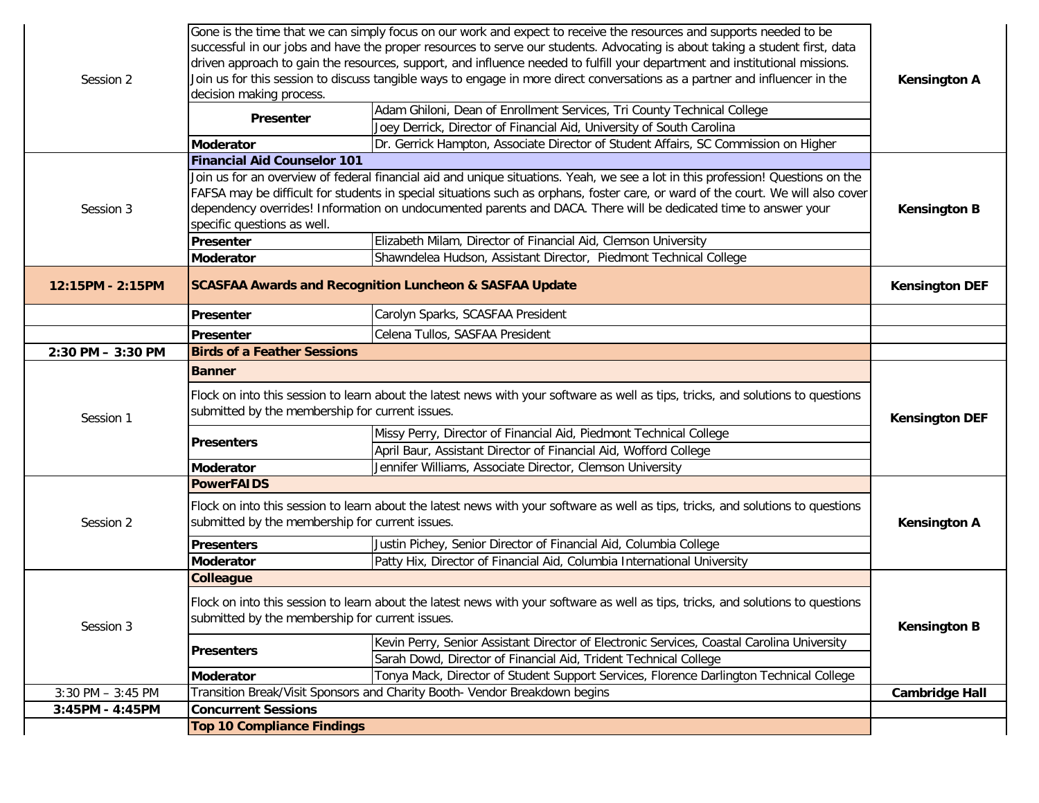| Session 2            | decision making process.<br><b>Presenter</b>                                                                                                                                        | Gone is the time that we can simply focus on our work and expect to receive the resources and supports needed to be<br>successful in our jobs and have the proper resources to serve our students. Advocating is about taking a student first, data<br>driven approach to gain the resources, support, and influence needed to fulfill your department and institutional missions.<br>Join us for this session to discuss tangible ways to engage in more direct conversations as a partner and influencer in the<br>Adam Ghiloni, Dean of Enrollment Services, Tri County Technical College | <b>Kensington A</b>   |
|----------------------|-------------------------------------------------------------------------------------------------------------------------------------------------------------------------------------|----------------------------------------------------------------------------------------------------------------------------------------------------------------------------------------------------------------------------------------------------------------------------------------------------------------------------------------------------------------------------------------------------------------------------------------------------------------------------------------------------------------------------------------------------------------------------------------------|-----------------------|
|                      | <b>Moderator</b>                                                                                                                                                                    | Joey Derrick, Director of Financial Aid, University of South Carolina<br>Dr. Gerrick Hampton, Associate Director of Student Affairs, SC Commission on Higher                                                                                                                                                                                                                                                                                                                                                                                                                                 |                       |
|                      | <b>Financial Aid Counselor 101</b>                                                                                                                                                  |                                                                                                                                                                                                                                                                                                                                                                                                                                                                                                                                                                                              |                       |
| Session 3            | specific questions as well.<br>Presenter                                                                                                                                            | Join us for an overview of federal financial aid and unique situations. Yeah, we see a lot in this profession! Questions on the<br>FAFSA may be difficult for students in special situations such as orphans, foster care, or ward of the court. We will also cover<br>dependency overrides! Information on undocumented parents and DACA. There will be dedicated time to answer your<br>Elizabeth Milam, Director of Financial Aid, Clemson University                                                                                                                                     | <b>Kensington B</b>   |
|                      | <b>Moderator</b>                                                                                                                                                                    | Shawndelea Hudson, Assistant Director, Piedmont Technical College                                                                                                                                                                                                                                                                                                                                                                                                                                                                                                                            |                       |
| 12:15PM - 2:15PM     |                                                                                                                                                                                     | <b>SCASFAA Awards and Recognition Luncheon &amp; SASFAA Update</b>                                                                                                                                                                                                                                                                                                                                                                                                                                                                                                                           | <b>Kensington DEF</b> |
|                      | Presenter                                                                                                                                                                           | Carolyn Sparks, SCASFAA President                                                                                                                                                                                                                                                                                                                                                                                                                                                                                                                                                            |                       |
|                      | Presenter                                                                                                                                                                           | Celena Tullos, SASFAA President                                                                                                                                                                                                                                                                                                                                                                                                                                                                                                                                                              |                       |
| 2:30 PM - 3:30 PM    | <b>Birds of a Feather Sessions</b>                                                                                                                                                  |                                                                                                                                                                                                                                                                                                                                                                                                                                                                                                                                                                                              |                       |
|                      | <b>Banner</b>                                                                                                                                                                       |                                                                                                                                                                                                                                                                                                                                                                                                                                                                                                                                                                                              |                       |
| Session 1            | Flock on into this session to learn about the latest news with your software as well as tips, tricks, and solutions to questions<br>submitted by the membership for current issues. | <b>Kensington DEF</b>                                                                                                                                                                                                                                                                                                                                                                                                                                                                                                                                                                        |                       |
|                      | <b>Presenters</b>                                                                                                                                                                   | Missy Perry, Director of Financial Aid, Piedmont Technical College<br>April Baur, Assistant Director of Financial Aid, Wofford College                                                                                                                                                                                                                                                                                                                                                                                                                                                       |                       |
|                      | <b>Moderator</b>                                                                                                                                                                    | Jennifer Williams, Associate Director, Clemson University                                                                                                                                                                                                                                                                                                                                                                                                                                                                                                                                    |                       |
|                      | <b>PowerFAIDS</b>                                                                                                                                                                   |                                                                                                                                                                                                                                                                                                                                                                                                                                                                                                                                                                                              |                       |
| Session 2            | Flock on into this session to learn about the latest news with your software as well as tips, tricks, and solutions to questions<br>submitted by the membership for current issues. |                                                                                                                                                                                                                                                                                                                                                                                                                                                                                                                                                                                              | <b>Kensington A</b>   |
|                      | <b>Presenters</b>                                                                                                                                                                   | Justin Pichey, Senior Director of Financial Aid, Columbia College                                                                                                                                                                                                                                                                                                                                                                                                                                                                                                                            |                       |
|                      | <b>Moderator</b>                                                                                                                                                                    | Patty Hix, Director of Financial Aid, Columbia International University                                                                                                                                                                                                                                                                                                                                                                                                                                                                                                                      |                       |
|                      | <b>Colleague</b>                                                                                                                                                                    |                                                                                                                                                                                                                                                                                                                                                                                                                                                                                                                                                                                              |                       |
| Session 3            | Flock on into this session to learn about the latest news with your software as well as tips, tricks, and solutions to questions<br>submitted by the membership for current issues. |                                                                                                                                                                                                                                                                                                                                                                                                                                                                                                                                                                                              | <b>Kensington B</b>   |
|                      | <b>Presenters</b>                                                                                                                                                                   | Kevin Perry, Senior Assistant Director of Electronic Services, Coastal Carolina University                                                                                                                                                                                                                                                                                                                                                                                                                                                                                                   |                       |
|                      |                                                                                                                                                                                     | Sarah Dowd, Director of Financial Aid, Trident Technical College                                                                                                                                                                                                                                                                                                                                                                                                                                                                                                                             |                       |
|                      | <b>Moderator</b>                                                                                                                                                                    | Tonya Mack, Director of Student Support Services, Florence Darlington Technical College                                                                                                                                                                                                                                                                                                                                                                                                                                                                                                      |                       |
| $3:30$ PM $-3:45$ PM |                                                                                                                                                                                     | Transition Break/Visit Sponsors and Charity Booth- Vendor Breakdown begins                                                                                                                                                                                                                                                                                                                                                                                                                                                                                                                   | <b>Cambridge Hall</b> |
| 3:45PM - 4:45PM      | <b>Concurrent Sessions</b>                                                                                                                                                          |                                                                                                                                                                                                                                                                                                                                                                                                                                                                                                                                                                                              |                       |
|                      | <b>Top 10 Compliance Findings</b>                                                                                                                                                   |                                                                                                                                                                                                                                                                                                                                                                                                                                                                                                                                                                                              |                       |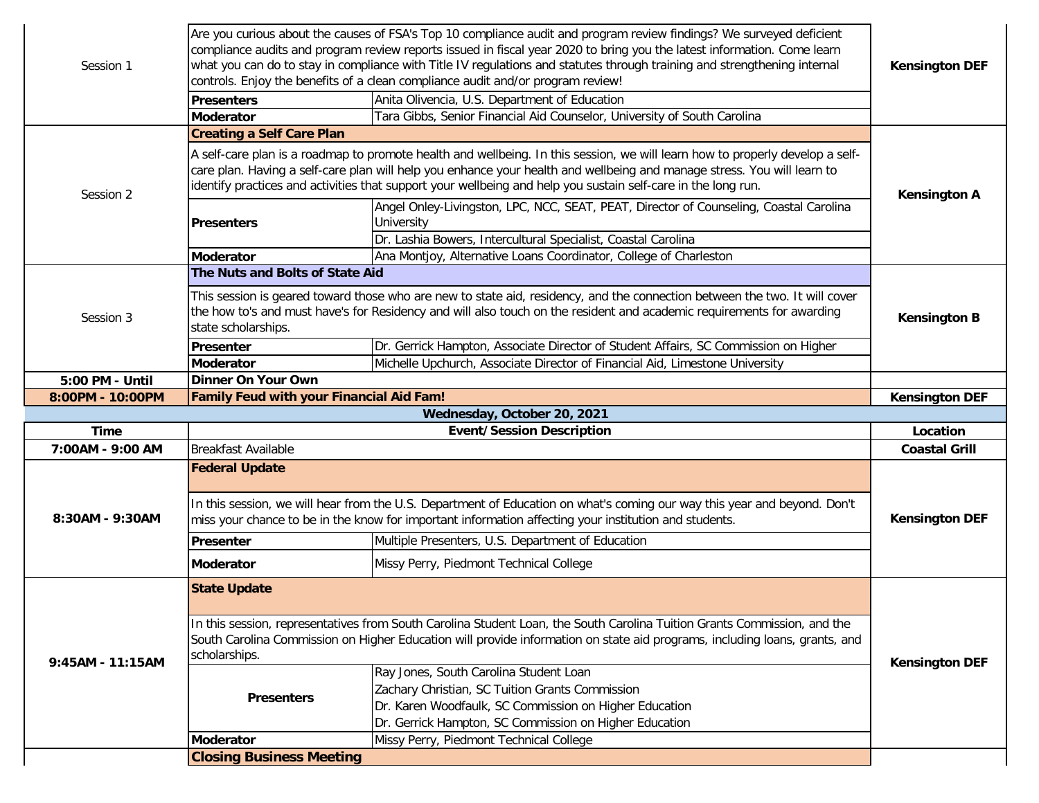| Session 1        |                                                 | Are you curious about the causes of FSA's Top 10 compliance audit and program review findings? We surveyed deficient<br>compliance audits and program review reports issued in fiscal year 2020 to bring you the latest information. Come learn<br>what you can do to stay in compliance with Title IV regulations and statutes through training and strengthening internal<br>controls. Enjoy the benefits of a clean compliance audit and/or program review! | <b>Kensington DEF</b> |  |
|------------------|-------------------------------------------------|----------------------------------------------------------------------------------------------------------------------------------------------------------------------------------------------------------------------------------------------------------------------------------------------------------------------------------------------------------------------------------------------------------------------------------------------------------------|-----------------------|--|
|                  | <b>Presenters</b>                               | Anita Olivencia, U.S. Department of Education                                                                                                                                                                                                                                                                                                                                                                                                                  |                       |  |
|                  | <b>Moderator</b>                                | Tara Gibbs, Senior Financial Aid Counselor, University of South Carolina                                                                                                                                                                                                                                                                                                                                                                                       |                       |  |
|                  | <b>Creating a Self Care Plan</b>                |                                                                                                                                                                                                                                                                                                                                                                                                                                                                |                       |  |
| Session 2        |                                                 | A self-care plan is a roadmap to promote health and wellbeing. In this session, we will learn how to properly develop a self-<br>care plan. Having a self-care plan will help you enhance your health and wellbeing and manage stress. You will learn to<br>identify practices and activities that support your wellbeing and help you sustain self-care in the long run.                                                                                      | <b>Kensington A</b>   |  |
|                  | <b>Presenters</b>                               | Angel Onley-Livingston, LPC, NCC, SEAT, PEAT, Director of Counseling, Coastal Carolina<br>University                                                                                                                                                                                                                                                                                                                                                           |                       |  |
|                  |                                                 | Dr. Lashia Bowers, Intercultural Specialist, Coastal Carolina                                                                                                                                                                                                                                                                                                                                                                                                  |                       |  |
|                  | <b>Moderator</b>                                | Ana Montjoy, Alternative Loans Coordinator, College of Charleston                                                                                                                                                                                                                                                                                                                                                                                              |                       |  |
|                  | The Nuts and Bolts of State Aid                 |                                                                                                                                                                                                                                                                                                                                                                                                                                                                |                       |  |
| Session 3        | state scholarships.                             | This session is geared toward those who are new to state aid, residency, and the connection between the two. It will cover<br>the how to's and must have's for Residency and will also touch on the resident and academic requirements for awarding                                                                                                                                                                                                            | <b>Kensington B</b>   |  |
|                  | <b>Presenter</b>                                | Dr. Gerrick Hampton, Associate Director of Student Affairs, SC Commission on Higher                                                                                                                                                                                                                                                                                                                                                                            |                       |  |
|                  | <b>Moderator</b>                                | Michelle Upchurch, Associate Director of Financial Aid, Limestone University                                                                                                                                                                                                                                                                                                                                                                                   |                       |  |
| 5:00 PM - Until  | Dinner On Your Own                              |                                                                                                                                                                                                                                                                                                                                                                                                                                                                |                       |  |
| 8:00PM - 10:00PM | <b>Family Feud with your Financial Aid Fam!</b> |                                                                                                                                                                                                                                                                                                                                                                                                                                                                | <b>Kensington DEF</b> |  |
|                  |                                                 | Wednesday, October 20, 2021                                                                                                                                                                                                                                                                                                                                                                                                                                    |                       |  |
| <b>Time</b>      |                                                 | <b>Event/Session Description</b>                                                                                                                                                                                                                                                                                                                                                                                                                               |                       |  |
| 7:00AM - 9:00 AM | <b>Breakfast Available</b>                      |                                                                                                                                                                                                                                                                                                                                                                                                                                                                | <b>Coastal Grill</b>  |  |
|                  | <b>Federal Update</b>                           |                                                                                                                                                                                                                                                                                                                                                                                                                                                                |                       |  |
| 8:30AM - 9:30AM  |                                                 | In this session, we will hear from the U.S. Department of Education on what's coming our way this year and beyond. Don't<br>miss your chance to be in the know for important information affecting your institution and students.                                                                                                                                                                                                                              | <b>Kensington DEF</b> |  |
|                  | <b>Presenter</b>                                | Multiple Presenters, U.S. Department of Education                                                                                                                                                                                                                                                                                                                                                                                                              |                       |  |
|                  | <b>Moderator</b>                                | Missy Perry, Piedmont Technical College                                                                                                                                                                                                                                                                                                                                                                                                                        |                       |  |
|                  |                                                 |                                                                                                                                                                                                                                                                                                                                                                                                                                                                |                       |  |
|                  | <b>State Update</b>                             |                                                                                                                                                                                                                                                                                                                                                                                                                                                                |                       |  |
|                  | scholarships.                                   | In this session, representatives from South Carolina Student Loan, the South Carolina Tuition Grants Commission, and the<br>South Carolina Commission on Higher Education will provide information on state aid programs, including loans, grants, and                                                                                                                                                                                                         |                       |  |
| 9:45AM - 11:15AM | <b>Presenters</b>                               | Ray Jones, South Carolina Student Loan<br>Zachary Christian, SC Tuition Grants Commission<br>Dr. Karen Woodfaulk, SC Commission on Higher Education<br>Dr. Gerrick Hampton, SC Commission on Higher Education                                                                                                                                                                                                                                                  | <b>Kensington DEF</b> |  |
|                  | Moderator                                       | Missy Perry, Piedmont Technical College                                                                                                                                                                                                                                                                                                                                                                                                                        |                       |  |